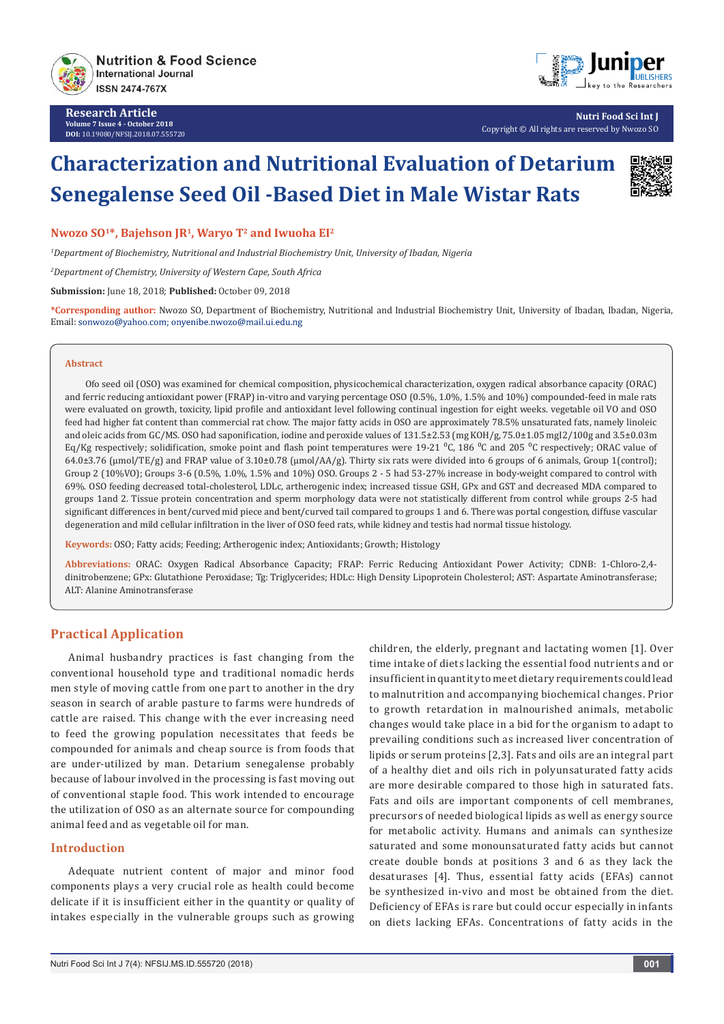

**Research Article Volume 7 Issue 4 - October 2018 DOI:** [10.19080/NFSIJ.2018.07.555720](http://dx.doi.org/10.19080/NFSIJ.2018.07.555720)



**Nutri Food Sci Int J** Copyright © All rights are reserved by Nwozo SO

# **Characterization and Nutritional Evaluation of Detarium Senegalense Seed Oil -Based Diet in Male Wistar Rats**



**Nwozo SO1\*, Bajehson JR1, Waryo T2 and Iwuoha EI2**

*1 Department of Biochemistry, Nutritional and Industrial Biochemistry Unit, University of Ibadan, Nigeria*

*2 Department of Chemistry, University of Western Cape, South Africa*

**Submission:** June 18, 2018; **Published:** October 09, 2018

**\*Corresponding author:** Nwozo SO, Department of Biochemistry, Nutritional and Industrial Biochemistry Unit, University of Ibadan, Ibadan, Nigeria, Email: sonwozo@yahoo.com; onyenibe.nwozo@mail.ui.edu.ng

#### **Abstract**

 Ofo seed oil (OSO) was examined for chemical composition, physicochemical characterization, oxygen radical absorbance capacity (ORAC) and ferric reducing antioxidant power (FRAP) in-vitro and varying percentage OSO (0.5%, 1.0%, 1.5% and 10%) compounded-feed in male rats were evaluated on growth, toxicity, lipid profile and antioxidant level following continual ingestion for eight weeks. vegetable oil VO and OSO feed had higher fat content than commercial rat chow. The major fatty acids in OSO are approximately 78.5% unsaturated fats, namely linoleic and oleic acids from GC/MS. OSO had saponification, iodine and peroxide values of 131.5±2.53 (mg KOH/g, 75.0±1.05 mgI2/100g and 3.5±0.03m Eq/Kg respectively; solidification, smoke point and flash point temperatures were 19-21 <sup>o</sup>C, 186 <sup>o</sup>C and 205 <sup>o</sup>C respectively; ORAC value of  $64.0\pm3.76$  (umol/TE/g) and FRAP value of  $3.10\pm0.78$  (umol/AA/g). Thirty six rats were divided into 6 groups of 6 animals, Group 1(control); Group 2 (10%VO); Groups 3-6 (0.5%, 1.0%, 1.5% and 10%) OSO. Groups 2 - 5 had 53-27% increase in body-weight compared to control with 69%. OSO feeding decreased total-cholesterol, LDLc, artherogenic index; increased tissue GSH, GPx and GST and decreased MDA compared to groups 1and 2. Tissue protein concentration and sperm morphology data were not statistically different from control while groups 2-5 had significant differences in bent/curved mid piece and bent/curved tail compared to groups 1 and 6. There was portal congestion, diffuse vascular degeneration and mild cellular infiltration in the liver of OSO feed rats, while kidney and testis had normal tissue histology.

**Keywords:** OSO; Fatty acids; Feeding; Artherogenic index; Antioxidants; Growth; Histology

**Abbreviations:** ORAC: Oxygen Radical Absorbance Capacity; FRAP: Ferric Reducing Antioxidant Power Activity; CDNB: 1-Chloro-2,4 dinitrobenzene; GPx: Glutathione Peroxidase; Tg: Triglycerides; HDLc: High Density Lipoprotein Cholesterol; AST: Aspartate Aminotransferase; ALT: Alanine Aminotransferase

## **Practical Application**

Animal husbandry practices is fast changing from the conventional household type and traditional nomadic herds men style of moving cattle from one part to another in the dry season in search of arable pasture to farms were hundreds of cattle are raised. This change with the ever increasing need to feed the growing population necessitates that feeds be compounded for animals and cheap source is from foods that are under-utilized by man. Detarium senegalense probably because of labour involved in the processing is fast moving out of conventional staple food. This work intended to encourage the utilization of OSO as an alternate source for compounding animal feed and as vegetable oil for man.

## **Introduction**

Adequate nutrient content of major and minor food components plays a very crucial role as health could become delicate if it is insufficient either in the quantity or quality of intakes especially in the vulnerable groups such as growing children, the elderly, pregnant and lactating women [1]. Over time intake of diets lacking the essential food nutrients and or insufficient in quantity to meet dietary requirements could lead to malnutrition and accompanying biochemical changes. Prior to growth retardation in malnourished animals, metabolic changes would take place in a bid for the organism to adapt to prevailing conditions such as increased liver concentration of lipids or serum proteins [2,3]. Fats and oils are an integral part of a healthy diet and oils rich in polyunsaturated fatty acids are more desirable compared to those high in saturated fats. Fats and oils are important components of cell membranes, precursors of needed biological lipids as well as energy source for metabolic activity. Humans and animals can synthesize saturated and some monounsaturated fatty acids but cannot create double bonds at positions 3 and 6 as they lack the desaturases [4]. Thus, essential fatty acids (EFAs) cannot be synthesized in-vivo and most be obtained from the diet. Deficiency of EFAs is rare but could occur especially in infants on diets lacking EFAs. Concentrations of fatty acids in the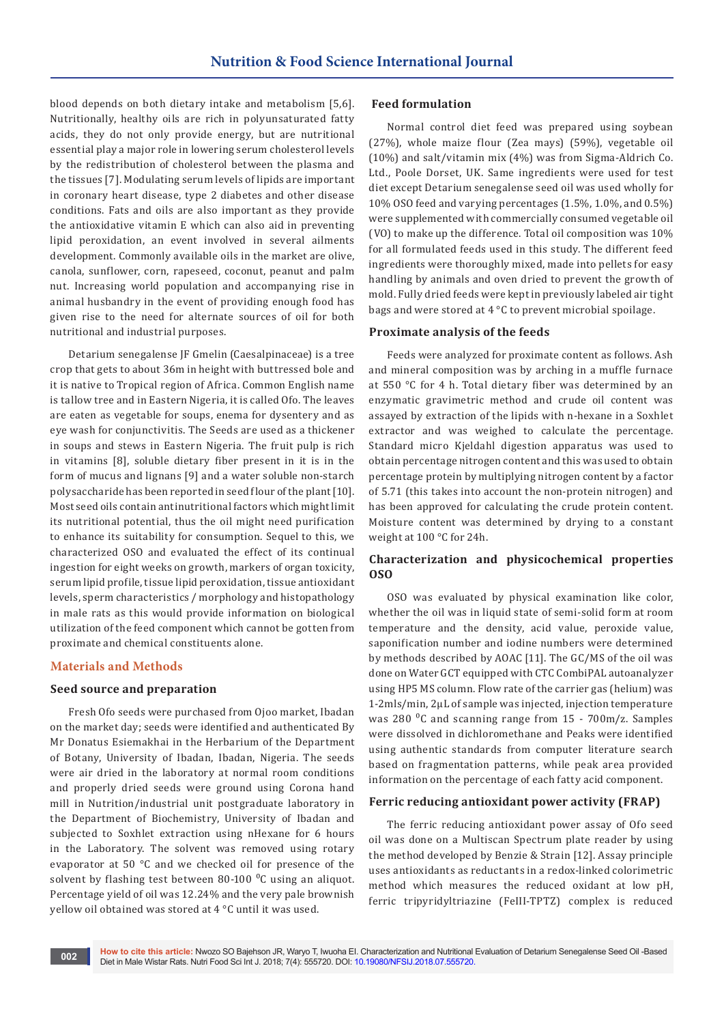blood depends on both dietary intake and metabolism [5,6]. Nutritionally, healthy oils are rich in polyunsaturated fatty acids, they do not only provide energy, but are nutritional essential play a major role in lowering serum cholesterol levels by the redistribution of cholesterol between the plasma and the tissues [7]. Modulating serum levels of lipids are important in coronary heart disease, type 2 diabetes and other disease conditions. Fats and oils are also important as they provide the antioxidative vitamin E which can also aid in preventing lipid peroxidation, an event involved in several ailments development. Commonly available oils in the market are olive, canola, sunflower, corn, rapeseed, coconut, peanut and palm nut. Increasing world population and accompanying rise in animal husbandry in the event of providing enough food has given rise to the need for alternate sources of oil for both nutritional and industrial purposes.

Detarium senegalense JF Gmelin (Caesalpinaceae) is a tree crop that gets to about 36m in height with buttressed bole and it is native to Tropical region of Africa. Common English name is tallow tree and in Eastern Nigeria, it is called Ofo. The leaves are eaten as vegetable for soups, enema for dysentery and as eye wash for conjunctivitis. The Seeds are used as a thickener in soups and stews in Eastern Nigeria. The fruit pulp is rich in vitamins [8], soluble dietary fiber present in it is in the form of mucus and lignans [9] and a water soluble non-starch polysaccharide has been reported in seed flour of the plant [10]. Most seed oils contain antinutritional factors which might limit its nutritional potential, thus the oil might need purification to enhance its suitability for consumption. Sequel to this, we characterized OSO and evaluated the effect of its continual ingestion for eight weeks on growth, markers of organ toxicity, serum lipid profile, tissue lipid peroxidation, tissue antioxidant levels, sperm characteristics / morphology and histopathology in male rats as this would provide information on biological utilization of the feed component which cannot be gotten from proximate and chemical constituents alone.

#### **Materials and Methods**

#### **Seed source and preparation**

Fresh Ofo seeds were purchased from Ojoo market, Ibadan on the market day; seeds were identified and authenticated By Mr Donatus Esiemakhai in the Herbarium of the Department of Botany, University of Ibadan, Ibadan, Nigeria. The seeds were air dried in the laboratory at normal room conditions and properly dried seeds were ground using Corona hand mill in Nutrition/industrial unit postgraduate laboratory in the Department of Biochemistry, University of Ibadan and subjected to Soxhlet extraction using nHexane for 6 hours in the Laboratory. The solvent was removed using rotary evaporator at 50 °C and we checked oil for presence of the solvent by flashing test between  $80-100$   $\degree$ C using an aliquot. Percentage yield of oil was 12.24% and the very pale brownish yellow oil obtained was stored at 4 °C until it was used.

#### **Feed formulation**

Normal control diet feed was prepared using soybean (27%), whole maize flour (Zea mays) (59%), vegetable oil (10%) and salt/vitamin mix (4%) was from Sigma-Aldrich Co. Ltd., Poole Dorset, UK. Same ingredients were used for test diet except Detarium senegalense seed oil was used wholly for 10% OSO feed and varying percentages (1.5%, 1.0%, and 0.5%) were supplemented with commercially consumed vegetable oil (VO) to make up the difference. Total oil composition was 10% for all formulated feeds used in this study. The different feed ingredients were thoroughly mixed, made into pellets for easy handling by animals and oven dried to prevent the growth of mold. Fully dried feeds were kept in previously labeled air tight bags and were stored at 4 °C to prevent microbial spoilage.

#### **Proximate analysis of the feeds**

Feeds were analyzed for proximate content as follows. Ash and mineral composition was by arching in a muffle furnace at 550 °C for 4 h. Total dietary fiber was determined by an enzymatic gravimetric method and crude oil content was assayed by extraction of the lipids with n-hexane in a Soxhlet extractor and was weighed to calculate the percentage. Standard micro Kjeldahl digestion apparatus was used to obtain percentage nitrogen content and this was used to obtain percentage protein by multiplying nitrogen content by a factor of 5.71 (this takes into account the non-protein nitrogen) and has been approved for calculating the crude protein content. Moisture content was determined by drying to a constant weight at 100 °C for 24h.

## **Characterization and physicochemical properties OSO**

OSO was evaluated by physical examination like color, whether the oil was in liquid state of semi-solid form at room temperature and the density, acid value, peroxide value, saponification number and iodine numbers were determined by methods described by AOAC [11]. The GC/MS of the oil was done on Water GCT equipped with CTC CombiPAL autoanalyzer using HP5 MS column. Flow rate of the carrier gas (helium) was 1-2mls/min, 2μL of sample was injected, injection temperature was 280 <sup>o</sup>C and scanning range from 15 - 700m/z. Samples were dissolved in dichloromethane and Peaks were identified using authentic standards from computer literature search based on fragmentation patterns, while peak area provided information on the percentage of each fatty acid component.

#### **Ferric reducing antioxidant power activity (FRAP)**

The ferric reducing antioxidant power assay of Ofo seed oil was done on a Multiscan Spectrum plate reader by using the method developed by Benzie & Strain [12]. Assay principle uses antioxidants as reductants in a redox-linked colorimetric method which measures the reduced oxidant at low pH, ferric tripyridyltriazine (FeIII-TPTZ) complex is reduced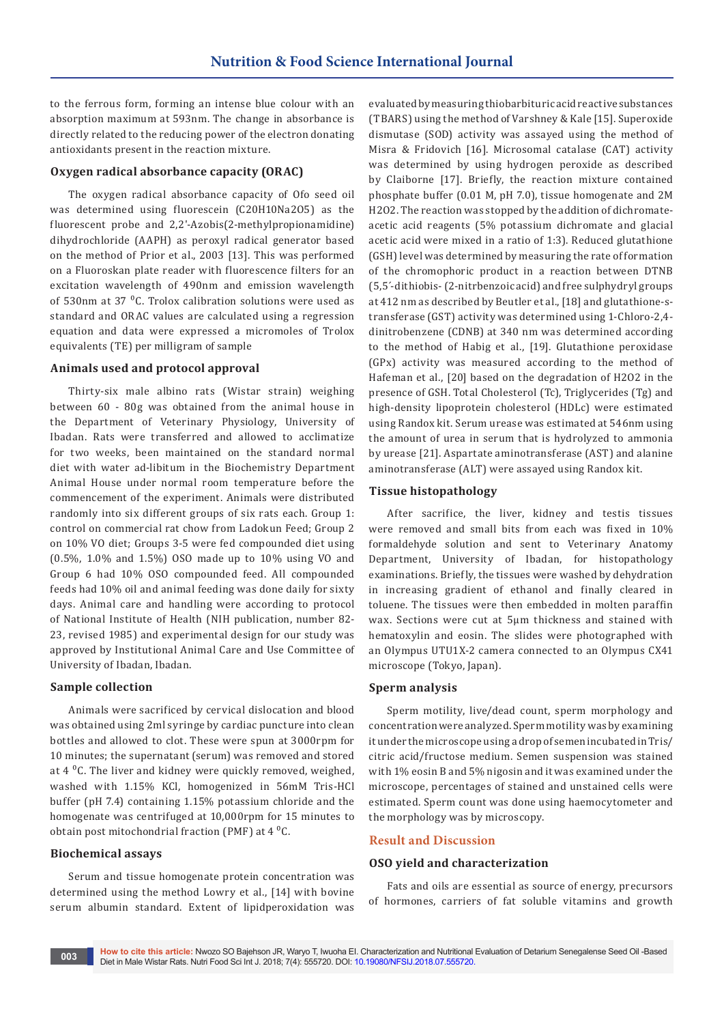to the ferrous form, forming an intense blue colour with an absorption maximum at 593nm. The change in absorbance is directly related to the reducing power of the electron donating antioxidants present in the reaction mixture.

#### **Oxygen radical absorbance capacity (ORAC)**

The oxygen radical absorbance capacity of Ofo seed oil was determined using fluorescein (C20H10Na2O5) as the fluorescent probe and 2,2'-Azobis(2-methylpropionamidine) dihydrochloride (AAPH) as peroxyl radical generator based on the method of Prior et al., 2003 [13]. This was performed on a Fluoroskan plate reader with fluorescence filters for an excitation wavelength of 490nm and emission wavelength of 530nm at 37 <sup>o</sup>C. Trolox calibration solutions were used as standard and ORAC values are calculated using a regression equation and data were expressed a micromoles of Trolox equivalents (TE) per milligram of sample

#### **Animals used and protocol approval**

Thirty-six male albino rats (Wistar strain) weighing between 60 - 80g was obtained from the animal house in the Department of Veterinary Physiology, University of Ibadan. Rats were transferred and allowed to acclimatize for two weeks, been maintained on the standard normal diet with water ad-libitum in the Biochemistry Department Animal House under normal room temperature before the commencement of the experiment. Animals were distributed randomly into six different groups of six rats each. Group 1: control on commercial rat chow from Ladokun Feed; Group 2 on 10% VO diet; Groups 3-5 were fed compounded diet using (0.5%, 1.0% and 1.5%) OSO made up to 10% using VO and Group 6 had 10% OSO compounded feed. All compounded feeds had 10% oil and animal feeding was done daily for sixty days. Animal care and handling were according to protocol of National Institute of Health (NIH publication, number 82- 23, revised 1985) and experimental design for our study was approved by Institutional Animal Care and Use Committee of University of Ibadan, Ibadan.

#### **Sample collection**

Animals were sacrificed by cervical dislocation and blood was obtained using 2ml syringe by cardiac puncture into clean bottles and allowed to clot. These were spun at 3000rpm for 10 minutes; the supernatant (serum) was removed and stored at  $4^{\circ}$ C. The liver and kidney were quickly removed, weighed, washed with 1.15% KCl, homogenized in 56mM Tris-HCl buffer (pH 7.4) containing 1.15% potassium chloride and the homogenate was centrifuged at 10,000rpm for 15 minutes to obtain post mitochondrial fraction (PMF) at  $4^{\circ}$ C.

#### **Biochemical assays**

Serum and tissue homogenate protein concentration was determined using the method Lowry et al., [14] with bovine serum albumin standard. Extent of lipidperoxidation was evaluated by measuring thiobarbituric acid reactive substances (TBARS) using the method of Varshney & Kale [15]. Superoxide dismutase (SOD) activity was assayed using the method of Misra & Fridovich [16]. Microsomal catalase (CAT) activity was determined by using hydrogen peroxide as described by Claiborne [17]. Briefly, the reaction mixture contained phosphate buffer (0.01 M, pH 7.0), tissue homogenate and 2M H2O2. The reaction was stopped by the addition of dichromateacetic acid reagents (5% potassium dichromate and glacial acetic acid were mixed in a ratio of 1:3). Reduced glutathione (GSH) level was determined by measuring the rate of formation of the chromophoric product in a reaction between DTNB (5,5´-dithiobis- (2-nitrbenzoic acid) and free sulphydryl groups at 412 nm as described by Beutler et al., [18] and glutathione-stransferase (GST) activity was determined using 1-Chloro-2,4 dinitrobenzene (CDNB) at 340 nm was determined according to the method of Habig et al., [19]. Glutathione peroxidase (GPx) activity was measured according to the method of Hafeman et al., [20] based on the degradation of H2O2 in the presence of GSH. Total Cholesterol (Tc), Triglycerides (Tg) and high-density lipoprotein cholesterol (HDLc) were estimated using Randox kit. Serum urease was estimated at 546nm using the amount of urea in serum that is hydrolyzed to ammonia by urease [21]. Aspartate aminotransferase (AST) and alanine aminotransferase (ALT) were assayed using Randox kit.

#### **Tissue histopathology**

After sacrifice, the liver, kidney and testis tissues were removed and small bits from each was fixed in 10% formaldehyde solution and sent to Veterinary Anatomy Department, University of Ibadan, for histopathology examinations. Briefly, the tissues were washed by dehydration in increasing gradient of ethanol and finally cleared in toluene. The tissues were then embedded in molten paraffin wax. Sections were cut at 5µm thickness and stained with hematoxylin and eosin. The slides were photographed with an Olympus UTU1X-2 camera connected to an Olympus CX41 microscope (Tokyo, Japan).

#### **Sperm analysis**

Sperm motility, live/dead count, sperm morphology and concentration were analyzed. Sperm motility was by examining it under the microscope using a drop of semen incubated in Tris/ citric acid/fructose medium. Semen suspension was stained with 1% eosin B and 5% nigosin and it was examined under the microscope, percentages of stained and unstained cells were estimated. Sperm count was done using haemocytometer and the morphology was by microscopy.

#### **Result and Discussion**

#### **OSO yield and characterization**

Fats and oils are essential as source of energy, precursors of hormones, carriers of fat soluble vitamins and growth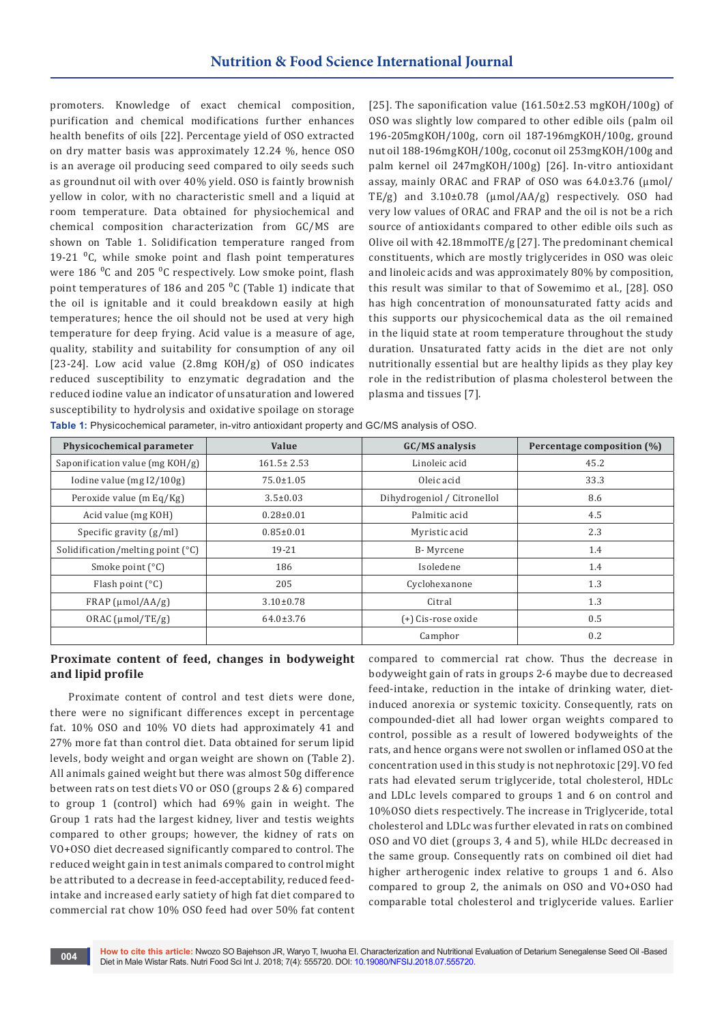promoters. Knowledge of exact chemical composition, purification and chemical modifications further enhances health benefits of oils [22]. Percentage yield of OSO extracted on dry matter basis was approximately 12.24 %, hence OSO is an average oil producing seed compared to oily seeds such as groundnut oil with over 40% yield. OSO is faintly brownish yellow in color, with no characteristic smell and a liquid at room temperature. Data obtained for physiochemical and chemical composition characterization from GC/MS are shown on Table 1. Solidification temperature ranged from 19-21 $^0$ C, while smoke point and flash point temperatures were  $186 \text{ °C}$  and  $205 \text{ °C}$  respectively. Low smoke point, flash point temperatures of 186 and 205  $^0C$  (Table 1) indicate that the oil is ignitable and it could breakdown easily at high temperatures; hence the oil should not be used at very high temperature for deep frying. Acid value is a measure of age, quality, stability and suitability for consumption of any oil [23-24]. Low acid value (2.8mg KOH/g) of OSO indicates reduced susceptibility to enzymatic degradation and the reduced iodine value an indicator of unsaturation and lowered susceptibility to hydrolysis and oxidative spoilage on storage

**Table 1:** Physicochemical parameter, in-vitro antioxidant property and GC/MS analysis of OSO.

[25]. The saponification value  $(161.50\pm2.53 \text{ mgKOH}/100g)$  of OSO was slightly low compared to other edible oils (palm oil 196-205mgKOH/100g, corn oil 187-196mgKOH/100g, ground nut oil 188-196mgKOH/100g, coconut oil 253mgKOH/100g and palm kernel oil 247mgKOH/100g) [26]. In-vitro antioxidant assay, mainly ORAC and FRAP of OSO was 64.0±3.76 (μmol/ TE/g) and 3.10±0.78 (μmol/AA/g) respectively. OSO had very low values of ORAC and FRAP and the oil is not be a rich source of antioxidants compared to other edible oils such as Olive oil with 42.18mmolTE/g [27]. The predominant chemical constituents, which are mostly triglycerides in OSO was oleic and linoleic acids and was approximately 80% by composition, this result was similar to that of Sowemimo et al., [28]. OSO has high concentration of monounsaturated fatty acids and this supports our physicochemical data as the oil remained in the liquid state at room temperature throughout the study duration. Unsaturated fatty acids in the diet are not only nutritionally essential but are healthy lipids as they play key role in the redistribution of plasma cholesterol between the plasma and tissues [7].

| Physicochemical parameter                   | Value            | GC/MS analysis              | Percentage composition (%) |  |
|---------------------------------------------|------------------|-----------------------------|----------------------------|--|
| Saponification value (mg KOH/g)             | $161.5 \pm 2.53$ | Linoleic acid               | 45.2                       |  |
| Iodine value $(mgI2/100g)$                  | $75.0 \pm 1.05$  | Oleic acid                  | 33.3                       |  |
| Peroxide value (m Eq/Kg)                    | $3.5 \pm 0.03$   | Dihydrogeniol / Citronellol | 8.6                        |  |
| Acid value (mg KOH)                         | $0.28 \pm 0.01$  | Palmitic acid               | 4.5                        |  |
| Specific gravity $(g/ml)$                   | $0.85 \pm 0.01$  | Myristic acid               | 2.3                        |  |
| Solidification/melting point $(^{\circ}C)$  | 19-21            | B-Myrcene                   | 1.4                        |  |
| Smoke point $(^{\circ}C)$                   | 186              | Isoledene                   | 1.4                        |  |
| Flash point $(^{\circ}C)$                   | 205              | Cyclohexanone               | 1.3                        |  |
| $FRAP$ (µmol/AA/g)                          | $3.10 \pm 0.78$  | Citral                      | 1.3                        |  |
| $64.0 \pm 3.76$<br>$ORAC$ ( $\mu$ mol/TE/g) |                  | (+) Cis-rose oxide          | 0.5                        |  |
|                                             |                  | Camphor                     | 0.2                        |  |

# **Proximate content of feed, changes in bodyweight and lipid profile**

Proximate content of control and test diets were done, there were no significant differences except in percentage fat. 10% OSO and 10% VO diets had approximately 41 and 27% more fat than control diet. Data obtained for serum lipid levels, body weight and organ weight are shown on (Table 2). All animals gained weight but there was almost 50g difference between rats on test diets VO or OSO (groups 2 & 6) compared to group 1 (control) which had 69% gain in weight. The Group 1 rats had the largest kidney, liver and testis weights compared to other groups; however, the kidney of rats on VO+OSO diet decreased significantly compared to control. The reduced weight gain in test animals compared to control might be attributed to a decrease in feed-acceptability, reduced feedintake and increased early satiety of high fat diet compared to commercial rat chow 10% OSO feed had over 50% fat content compared to commercial rat chow. Thus the decrease in bodyweight gain of rats in groups 2-6 maybe due to decreased feed-intake, reduction in the intake of drinking water, dietinduced anorexia or systemic toxicity. Consequently, rats on compounded-diet all had lower organ weights compared to control, possible as a result of lowered bodyweights of the rats, and hence organs were not swollen or inflamed OSO at the concentration used in this study is not nephrotoxic [29]. VO fed rats had elevated serum triglyceride, total cholesterol, HDLc and LDLc levels compared to groups 1 and 6 on control and 10%OSO diets respectively. The increase in Triglyceride, total cholesterol and LDLc was further elevated in rats on combined OSO and VO diet (groups 3, 4 and 5), while HLDc decreased in the same group. Consequently rats on combined oil diet had higher artherogenic index relative to groups 1 and 6. Also compared to group 2, the animals on OSO and VO+OSO had comparable total cholesterol and triglyceride values. Earlier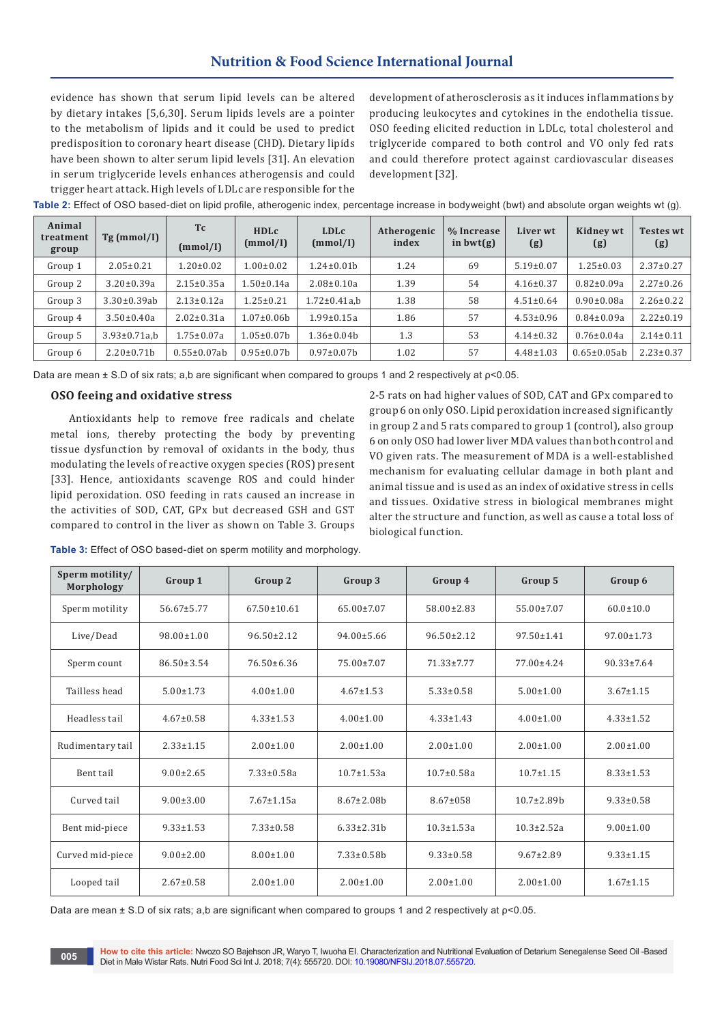# **Nutrition & Food Science International Journal**

evidence has shown that serum lipid levels can be altered by dietary intakes [5,6,30]. Serum lipids levels are a pointer to the metabolism of lipids and it could be used to predict predisposition to coronary heart disease (CHD). Dietary lipids have been shown to alter serum lipid levels [31]. An elevation in serum triglyceride levels enhances atherogensis and could trigger heart attack. High levels of LDLc are responsible for the development of atherosclerosis as it induces inflammations by producing leukocytes and cytokines in the endothelia tissue. OSO feeding elicited reduction in LDLc, total cholesterol and triglyceride compared to both control and VO only fed rats and could therefore protect against cardiovascular diseases development [32].

| Animal<br>treatment<br>group | Tg (mmol/I)          | <b>Tc</b><br>(mmol/I) | <b>HDLc</b><br>(mmol/I) | <b>LDLc</b><br>(mmol/I) | Atherogenic<br>index | % Increase<br>in $bwt(g)$ | Liver wt<br>(g) | Kidney wt<br>(g)   | <b>Testes wt</b><br>(g) |
|------------------------------|----------------------|-----------------------|-------------------------|-------------------------|----------------------|---------------------------|-----------------|--------------------|-------------------------|
| Group 1                      | $2.05 \pm 0.21$      | $1.20 \pm 0.02$       | $.00 \pm 0.02$          | $1.24 \pm 0.01 b$       | 1.24                 | 69                        | $5.19 \pm 0.07$ | $1.25 \pm 0.03$    | $2.37 \pm 0.27$         |
| Group 2                      | $3.20 \pm 0.39a$     | $2.15 \pm 0.35a$      | $.50 \pm 0.14a$         | $2.08 \pm 0.10a$        | 1.39                 | 54                        | $4.16 \pm 0.37$ | $0.82 \pm 0.09a$   | $2.27 \pm 0.26$         |
| Group 3                      | $3.30 \pm 0.39$ ab   | $2.13 \pm 0.12a$      | $1.25 \pm 0.21$         | $1.72 \pm 0.41a$ , b    | 1.38                 | 58                        | $4.51 \pm 0.64$ | $0.90 \pm 0.08a$   | $2.26 \pm 0.22$         |
| Group 4                      | $3.50 \pm 0.40a$     | $2.02 \pm 0.31a$      | $1.07 \pm 0.06 b$       | $1.99 \pm 0.15a$        | 1.86                 | 57                        | $4.53 \pm 0.96$ | $0.84 \pm 0.09a$   | $2.22 \pm 0.19$         |
| Group 5                      | $3.93 \pm 0.71a$ , b | $1.75 \pm 0.07a$      | $1.05 \pm 0.07 b$       | $1.36 \pm 0.04 b$       | 1.3                  | 53                        | $4.14 \pm 0.32$ | $0.76 \pm 0.04a$   | $2.14 \pm 0.11$         |
| Group 6                      | $2.20 \pm 0.71$ h    | $0.55 \pm 0.07$ ab    | $0.95 \pm 0.07 b$       | $0.97 \pm 0.07$ h       | 1.02                 | 57                        | $4.48 \pm 1.03$ | $0.65 \pm 0.05$ ab | $2.23 \pm 0.37$         |

**Table 2:** Effect of OSO based-diet on lipid profile, atherogenic index, percentage increase in bodyweight (bwt) and absolute organ weights wt (g).

Data are mean ± S.D of six rats; a,b are significant when compared to groups 1 and 2 respectively at ρ<0.05.

#### **OSO feeing and oxidative stress**

Antioxidants help to remove free radicals and chelate metal ions, thereby protecting the body by preventing tissue dysfunction by removal of oxidants in the body, thus modulating the levels of reactive oxygen species (ROS) present [33]. Hence, antioxidants scavenge ROS and could hinder lipid peroxidation. OSO feeding in rats caused an increase in the activities of SOD, CAT, GPx but decreased GSH and GST compared to control in the liver as shown on Table 3. Groups 2-5 rats on had higher values of SOD, CAT and GPx compared to group 6 on only OSO. Lipid peroxidation increased significantly in group 2 and 5 rats compared to group 1 (control), also group 6 on only OSO had lower liver MDA values than both control and VO given rats. The measurement of MDA is a well-established mechanism for evaluating cellular damage in both plant and animal tissue and is used as an index of oxidative stress in cells and tissues. Oxidative stress in biological membranes might alter the structure and function, as well as cause a total loss of biological function.

**Table 3:** Effect of OSO based-diet on sperm motility and morphology.

| Sperm motility/<br>Morphology | Group 1          | Group 2           | Group 3           | Group 4          | Group 5           | Group 6          |
|-------------------------------|------------------|-------------------|-------------------|------------------|-------------------|------------------|
| Sperm motility                | $56.67 \pm 5.77$ | $67.50 \pm 10.61$ | $65.00 \pm 7.07$  | $58.00 \pm 2.83$ | $55.00 \pm 7.07$  | $60.0 \pm 10.0$  |
| Live/Dead                     | $98.00 \pm 1.00$ | $96.50 \pm 2.12$  | $94.00 \pm 5.66$  | $96.50 \pm 2.12$ | $97.50 \pm 1.41$  | $97.00 \pm 1.73$ |
| Sperm count                   | $86.50 \pm 3.54$ | $76.50 \pm 6.36$  | $75.00 \pm 7.07$  | 71.33±7.77       | 77,00±4.24        | $90.33 \pm 7.64$ |
| Tailless head                 | $5.00 \pm 1.73$  | $4.00 \pm 1.00$   | $4.67 \pm 1.53$   | $5.33 \pm 0.58$  | $5.00 \pm 1.00$   | $3.67 \pm 1.15$  |
| Headless tail                 | $4.67 \pm 0.58$  | $4.33 \pm 1.53$   | $4.00 \pm 1.00$   | $4.33 \pm 1.43$  | $4.00 \pm 1.00$   | $4.33 \pm 1.52$  |
| Rudimentary tail              | $2.33 \pm 1.15$  | $2.00 \pm 1.00$   | $2.00 \pm 1.00$   | $2.00 \pm 1.00$  | $2.00 \pm 1.00$   | $2.00 \pm 1.00$  |
| Bent tail                     | $9.00 \pm 2.65$  | $7.33 \pm 0.58a$  | $10.7 \pm 1.53a$  | $10.7 \pm 0.58a$ | $10.7 + 1.15$     | $8.33 \pm 1.53$  |
| Curved tail                   | $9.00 \pm 3.00$  | $7.67 \pm 1.15a$  | $8.67 \pm 2.08h$  | $8.67 \pm 0.58$  | $10.7 \pm 2.89$ b | $9.33 \pm 0.58$  |
| Bent mid-piece                | $9.33 \pm 1.53$  | $7.33 \pm 0.58$   | $6.33 \pm 2.31 h$ | $10.3 \pm 1.53a$ | $10.3 \pm 2.52a$  | $9.00 \pm 1.00$  |
| Curved mid-piece              | $9.00 \pm 2.00$  | $8.00 \pm 1.00$   | $7.33 \pm 0.58$ b | $9.33 \pm 0.58$  | $9.67 \pm 2.89$   | $9.33 \pm 1.15$  |
| Looped tail                   | $2.67 \pm 0.58$  | $2.00 \pm 1.00$   | $2.00 \pm 1.00$   | $2.00 \pm 1.00$  | $2.00 \pm 1.00$   | $1.67 \pm 1.15$  |

Data are mean ± S.D of six rats; a,b are significant when compared to groups 1 and 2 respectively at ρ<0.05.

**How to cite this article:** Nwozo SO Bajehson JR, Waryo T, Iwuoha EI. Characterization and Nutritional Evaluation of Detarium Senegalense Seed Oil -Based Diet in Male Wistar Rats. Nutri Food Sci Int J. 2018; 7(4): 555720. DOI: [10.19080/NFSIJ.2018.07.555720](http://dx.doi.org/10.19080/NFSIJ.2018.07.555720). **<sup>005</sup>**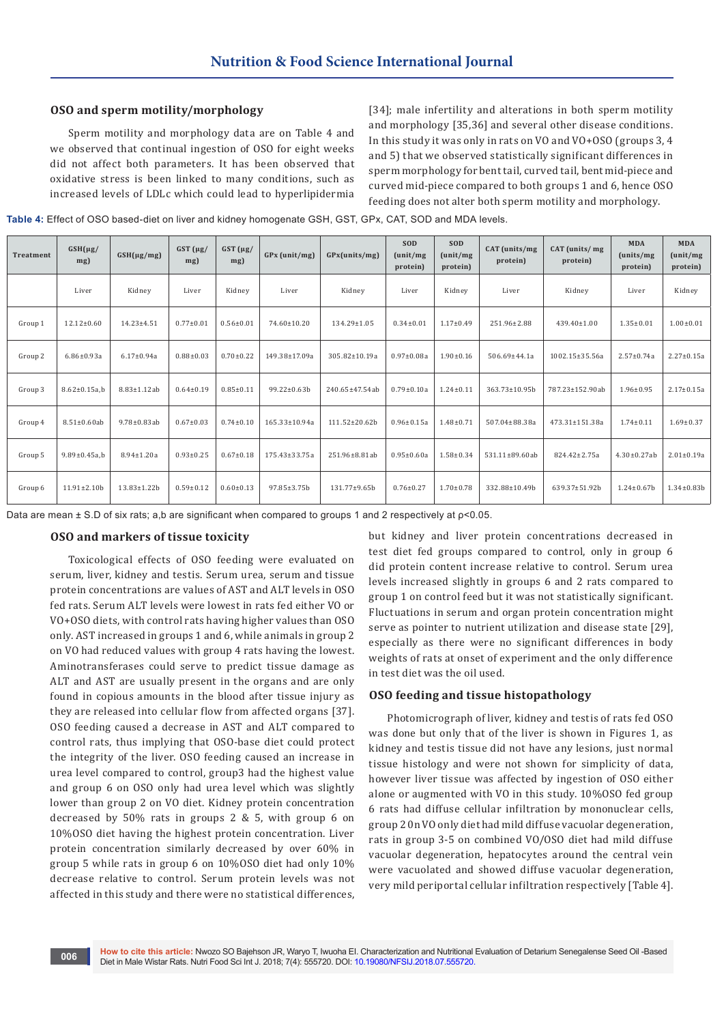#### **OSO and sperm motility/morphology**

Sperm motility and morphology data are on Table 4 and we observed that continual ingestion of OSO for eight weeks did not affect both parameters. It has been observed that oxidative stress is been linked to many conditions, such as increased levels of LDLc which could lead to hyperlipidermia [34]; male infertility and alterations in both sperm motility and morphology [35,36] and several other disease conditions. In this study it was only in rats on VO and VO+OSO (groups 3, 4 and 5) that we observed statistically significant differences in sperm morphology for bent tail, curved tail, bent mid-piece and curved mid-piece compared to both groups 1 and 6, hence OSO feeding does not alter both sperm motility and morphology.

**Table 4:** Effect of OSO based-diet on liver and kidney homogenate GSH, GST, GPx, CAT, SOD and MDA levels.

| <b>Treatment</b> | $GSH(\mu g)$<br>mg) | $GSH(\mu g/mg)$    | $GST(\mu g)$<br>$mg$ ) | $GST(\mu g)$<br>mg) | GPx (unit/mg)      | GPx(units/mg)       | <b>SOD</b><br>(unit/mg)<br>protein) | <b>SOD</b><br>(unit/mg)<br>protein) | CAT (units/mg)<br>protein) | CAT (units/mg)<br>protein) | <b>MDA</b><br>(units/mg<br>protein) | <b>MDA</b><br>(unit/mg)<br>protein) |
|------------------|---------------------|--------------------|------------------------|---------------------|--------------------|---------------------|-------------------------------------|-------------------------------------|----------------------------|----------------------------|-------------------------------------|-------------------------------------|
|                  | Liver               | Kidney             | Liver                  | Kidney              | Liver              | Kidney              | Liver                               | Kidney                              | Liver                      | Kidney                     | Liver                               | Kidney                              |
| Group 1          | $12.12 \pm 0.60$    | $14.23 \pm 4.51$   | $0.77 \pm 0.01$        | $0.56 \pm 0.01$     | 74.60±10.20        | 134.29±1.05         | $0.34 \pm 0.01$                     | $1.17 \pm 0.49$                     | 251.96±2.88                | $439.40 \pm 1.00$          | $1.35 \pm 0.01$                     | $1.00 \pm 0.01$                     |
| Group 2          | $6.86 \pm 0.93a$    | $6.17 \pm 0.94a$   | $0.88 + 0.03$          | $0.70 \pm 0.22$     | 149.38±17.09a      | 305.82±10.19a       | $0.97 \pm 0.08a$                    | $1.90 \pm 0.16$                     | 506.69±44.1a               | 1002.15±35.56a             | $2.57 \pm 0.74a$                    | $2.27 \pm 0.15a$                    |
| Group 3          | $8.62 \pm 0.15$ a.b | 8.83±1.12ab        | $0.64 \pm 0.19$        | $0.85 \pm 0.11$     | $99.22 \pm 0.63 b$ | 240.65±47.54ab      | $0.79 \pm 0.10a$                    | $1.24 \pm 0.11$                     | 363.73±10.95b              | 787.23±152.90ab            | $1.96 \pm 0.95$                     | $2.17 \pm 0.15a$                    |
| Group 4          | $8.51 \pm 0.60$ ab  | $9.78 \pm 0.83$ ab | $0.67 \pm 0.03$        | $0.74 \pm 0.10$     | 165.33±10.94a      | $111.52 \pm 20.62b$ | $0.96 \pm 0.15a$                    | $1.48 \pm 0.71$                     | 507.04±88.38a              | 473.31±151.38a             | $1.74 \pm 0.11$                     | $1.69 \pm 0.37$                     |
| Group 5          | $9.89 \pm 0.45$ a.b | $8.94 \pm 1.20a$   | $0.93 \pm 0.25$        | $0.67 \pm 0.18$     | 175.43±33.75a      | 251.96±8.81ab       | $0.95 \pm 0.60a$                    | $1.58 + 0.34$                       | 531.11±89.60ab             | 824.42±2.75a               | $4.30 \pm 0.27$ ab                  | $2.01 \pm 0.19a$                    |
| Group 6          | $11.91 \pm 2.10b$   | $13.83 \pm 1.22b$  | $0.59 + 0.12$          | $0.60 \pm 0.13$     | 97.85±3.75b        | 131.77±9.65b        | $0.76 \pm 0.27$                     | $1.70 \pm 0.78$                     | 332.88±10.49b              | 639.37±51.92b              | $1.24 \pm 0.67$ b                   | $1.34 \pm 0.83 b$                   |

Data are mean ± S.D of six rats; a,b are significant when compared to groups 1 and 2 respectively at ρ<0.05.

#### **OSO and markers of tissue toxicity**

Toxicological effects of OSO feeding were evaluated on serum, liver, kidney and testis. Serum urea, serum and tissue protein concentrations are values of AST and ALT levels in OSO fed rats. Serum ALT levels were lowest in rats fed either VO or VO+OSO diets, with control rats having higher values than OSO only. AST increased in groups 1 and 6, while animals in group 2 on VO had reduced values with group 4 rats having the lowest. Aminotransferases could serve to predict tissue damage as ALT and AST are usually present in the organs and are only found in copious amounts in the blood after tissue injury as they are released into cellular flow from affected organs [37]. OSO feeding caused a decrease in AST and ALT compared to control rats, thus implying that OSO-base diet could protect the integrity of the liver. OSO feeding caused an increase in urea level compared to control, group3 had the highest value and group 6 on OSO only had urea level which was slightly lower than group 2 on VO diet. Kidney protein concentration decreased by 50% rats in groups 2 & 5, with group 6 on 10%OSO diet having the highest protein concentration. Liver protein concentration similarly decreased by over 60% in group 5 while rats in group 6 on 10%OSO diet had only 10% decrease relative to control. Serum protein levels was not affected in this study and there were no statistical differences,

but kidney and liver protein concentrations decreased in test diet fed groups compared to control, only in group 6 did protein content increase relative to control. Serum urea levels increased slightly in groups 6 and 2 rats compared to group 1 on control feed but it was not statistically significant. Fluctuations in serum and organ protein concentration might serve as pointer to nutrient utilization and disease state [29], especially as there were no significant differences in body weights of rats at onset of experiment and the only difference in test diet was the oil used.

#### **OSO feeding and tissue histopathology**

Photomicrograph of liver, kidney and testis of rats fed OSO was done but only that of the liver is shown in Figures 1, as kidney and testis tissue did not have any lesions, just normal tissue histology and were not shown for simplicity of data, however liver tissue was affected by ingestion of OSO either alone or augmented with VO in this study. 10%OSO fed group 6 rats had diffuse cellular infiltration by mononuclear cells, group 2 0n VO only diet had mild diffuse vacuolar degeneration, rats in group 3-5 on combined VO/OSO diet had mild diffuse vacuolar degeneration, hepatocytes around the central vein were vacuolated and showed diffuse vacuolar degeneration, very mild periportal cellular infiltration respectively [Table 4].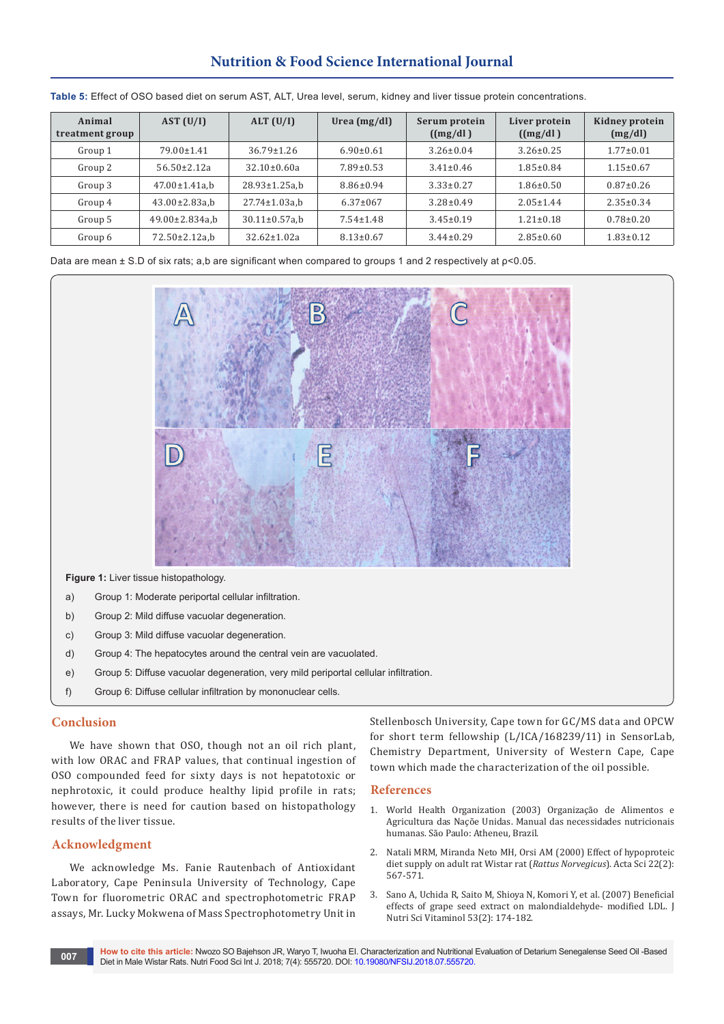# **Nutrition & Food Science International Journal**

| Animal<br>treatment group | AST (U/I)             | ALT (U/I)            | Urea $(mg/dl)$  | Serum protein<br>((mg/dl)) | Liver protein<br>((mg/dl)) | Kidney protein<br>(mg/dl) |
|---------------------------|-----------------------|----------------------|-----------------|----------------------------|----------------------------|---------------------------|
| Group 1                   | 79.00±1.41            | $36.79 \pm 1.26$     | $6.90 \pm 0.61$ | $3.26 \pm 0.04$            | $3.26 \pm 0.25$            | $1.77 \pm 0.01$           |
| Group 2                   | $56.50 \pm 2.12a$     | $32.10 \pm 0.60a$    | $7.89 \pm 0.53$ | $3.41 \pm 0.46$            | $1.85 \pm 0.84$            | $1.15 \pm 0.67$           |
| Group 3                   | $47.00 \pm 1.41$ a.b  | $28.93 \pm 1.25 a.b$ | $8.86 \pm 0.94$ | $3.33 \pm 0.27$            | $1.86 \pm 0.50$            | $0.87 \pm 0.26$           |
| Group 4                   | $43.00 \pm 2.83$ a,b  | $27.74 \pm 1.03$ a.b | $6.37 \pm 0.67$ | $3.28 \pm 0.49$            | $2.05 \pm 1.44$            | $2.35 \pm 0.34$           |
| Group 5                   | $49.00 \pm 2.834$ a.b | $30.11 \pm 0.57$ a.b | $7.54 \pm 1.48$ | $3.45 \pm 0.19$            | $1.21 \pm 0.18$            | $0.78 \pm 0.20$           |
| Group 6                   | $72.50 \pm 2.12$ a.b  | $32.62 \pm 1.02a$    | $8.13 \pm 0.67$ | $3.44 \pm 0.29$            | $2.85 \pm 0.60$            | $1.83 \pm 0.12$           |

**Table 5:** Effect of OSO based diet on serum AST, ALT, Urea level, serum, kidney and liver tissue protein concentrations.

Data are mean ± S.D of six rats; a,b are significant when compared to groups 1 and 2 respectively at ρ<0.05.



**Figure 1:** Liver tissue histopathology.

- a) Group 1: Moderate periportal cellular infiltration.
- b) Group 2: Mild diffuse vacuolar degeneration.
- c) Group 3: Mild diffuse vacuolar degeneration.
- d) Group 4: The hepatocytes around the central vein are vacuolated.
- e) Group 5: Diffuse vacuolar degeneration, very mild periportal cellular infiltration.
- f) Group 6: Diffuse cellular infiltration by mononuclear cells.

#### **Conclusion**

We have shown that OSO, though not an oil rich plant, with low ORAC and FRAP values, that continual ingestion of OSO compounded feed for sixty days is not hepatotoxic or nephrotoxic, it could produce healthy lipid profile in rats; however, there is need for caution based on histopathology results of the liver tissue.

#### **Acknowledgment**

We acknowledge Ms. Fanie Rautenbach of Antioxidant Laboratory, Cape Peninsula University of Technology, Cape Town for fluorometric ORAC and spectrophotometric FRAP assays, Mr. Lucky Mokwena of Mass Spectrophotometry Unit in Stellenbosch University, Cape town for GC/MS data and OPCW for short term fellowship (L/ICA/168239/11) in SensorLab, Chemistry Department, University of Western Cape, Cape town which made the characterization of the oil possible.

#### **References**

- 1. World Health Organization (2003) Organização de Alimentos e Agricultura das Naçõe Unidas. Manual das necessidades nutricionais humanas. São Paulo: Atheneu, Brazil.
- 2. [Natali MRM, Miranda Neto MH, Orsi AM \(2000\) Effect of hypoproteic](http://periodicos.uem.br/ojs/index.php/ActaSciBiolSci/article/viewFile/2949/2131)  [diet supply on adult rat Wistar rat \(](http://periodicos.uem.br/ojs/index.php/ActaSciBiolSci/article/viewFile/2949/2131)*Rattus Norvegicus*). Acta Sci 22(2): [567-571.](http://periodicos.uem.br/ojs/index.php/ActaSciBiolSci/article/viewFile/2949/2131)
- 3. [Sano A, Uchida R, Saito M, Shioya N, Komori Y, et al. \(2007\) Beneficial](https://www.ncbi.nlm.nih.gov/pubmed/17616006)  [effects of grape seed extract on malondialdehyde- modified LDL. J](https://www.ncbi.nlm.nih.gov/pubmed/17616006)  [Nutri Sci Vitaminol 53\(2\): 174-182.](https://www.ncbi.nlm.nih.gov/pubmed/17616006)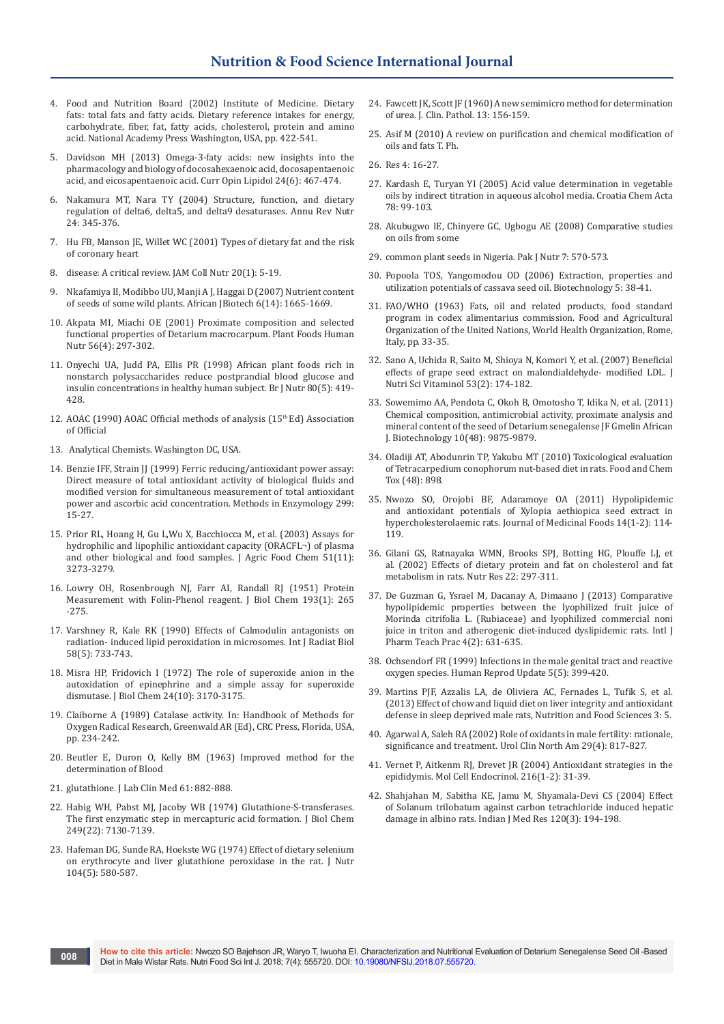- 4. Food and Nutrition Board (2002) Institute of Medicine. Dietary fats: total fats and fatty acids. Dietary reference intakes for energy, carbohydrate, fiber, fat, fatty acids, cholesterol, protein and amino acid. National Academy Press Washington, USA, pp. 422-541.
- 5. [Davidson MH \(2013\) Omega-3-faty acids: new insights into the](https://www.ncbi.nlm.nih.gov/pubmed/24184945)  [pharmacology and biology of docosahexaenoic acid, docosapentaenoic](https://www.ncbi.nlm.nih.gov/pubmed/24184945)  [acid, and eicosapentaenoic acid. Curr Opin Lipidol 24\(6\): 467-474.](https://www.ncbi.nlm.nih.gov/pubmed/24184945)
- 6. [Nakamura MT, Nara TY \(2004\) Structure, function, and dietary](https://www.ncbi.nlm.nih.gov/pubmed/15189125)  [regulation of delta6, delta5, and delta9 desaturases. Annu Rev Nutr](https://www.ncbi.nlm.nih.gov/pubmed/15189125)  [24: 345-376.](https://www.ncbi.nlm.nih.gov/pubmed/15189125)
- 7. [Hu FB, Manson JE, Willet WC \(2001\) Types of dietary fat and the risk](https://www.ncbi.nlm.nih.gov/pubmed/11293467)  [of coronary heart](https://www.ncbi.nlm.nih.gov/pubmed/11293467)
- 8. [disease: A critical review. JAM Coll Nutr 20\(1\): 5-19.](https://www.ncbi.nlm.nih.gov/pubmed/11293467)
- 9. [Nkafamiya II, Modibbo UU, Manji A J, Haggai D \(2007\) Nutrient content](http://www.academicjournals.org/article/article1379775460_Nkafamiya%20et%20al.pdf)  [of seeds of some wild plants. African JBiotech 6\(14\): 1665-1669.](http://www.academicjournals.org/article/article1379775460_Nkafamiya%20et%20al.pdf)
- 10. [Akpata MI, Miachi OE \(2001\) Proximate composition and selected](https://www.ncbi.nlm.nih.gov/pubmed/11678435)  [functional properties of Detarium macrocarpum. Plant Foods Human](https://www.ncbi.nlm.nih.gov/pubmed/11678435)  [Nutr 56\(4\): 297-302.](https://www.ncbi.nlm.nih.gov/pubmed/11678435)
- 11. [Onyechi UA, Judd PA, Ellis PR \(1998\) African plant foods rich in](https://www.ncbi.nlm.nih.gov/pubmed/9924263)  [nonstarch polysaccharides reduce postprandial blood glucose and](https://www.ncbi.nlm.nih.gov/pubmed/9924263)  [insulin concentrations in healthy human subject. Br J Nutr 80\(5\): 419-](https://www.ncbi.nlm.nih.gov/pubmed/9924263) [428.](https://www.ncbi.nlm.nih.gov/pubmed/9924263)
- 12. AOAC (1990) AOAC Official methods of analysis (15<sup>th</sup> Ed) Association of Official
- 13. Analytical Chemists. Washington DC, USA.
- 14. [Benzie IFF, Strain JJ \(1999\) Ferric reducing/antioxidant power assay:](https://www.ncbi.nlm.nih.gov/pubmed/9916193)  [Direct measure of total antioxidant activity of biological fluids and](https://www.ncbi.nlm.nih.gov/pubmed/9916193)  [modified version for simultaneous measurement of total antioxidant](https://www.ncbi.nlm.nih.gov/pubmed/9916193)  [power and ascorbic acid concentration. Methods in Enzymology 299:](https://www.ncbi.nlm.nih.gov/pubmed/9916193)  [15-27.](https://www.ncbi.nlm.nih.gov/pubmed/9916193)
- 15. [Prior RL, Hoang H, Gu L,Wu X, Bacchiocca M, et al. \(2003\) Assays for](https://www.ncbi.nlm.nih.gov/pubmed/12744654)  [hydrophilic and lipophilic antioxidant capacity \(ORACFL¬\) of plasma](https://www.ncbi.nlm.nih.gov/pubmed/12744654)  [and other biological and food samples. J Agric Food Chem 51\(11\):](https://www.ncbi.nlm.nih.gov/pubmed/12744654)  [3273-3279.](https://www.ncbi.nlm.nih.gov/pubmed/12744654)
- 16. [Lowry OH, Rosenbrough NJ, Farr AI, Randall RJ \(1951\) Protein](https://www.ncbi.nlm.nih.gov/pubmed/14907713)  [Measurement with Folin-Phenol reagent. J Biol Chem 193\(1\): 265](https://www.ncbi.nlm.nih.gov/pubmed/14907713)  [-275.](https://www.ncbi.nlm.nih.gov/pubmed/14907713)
- 17. [Varshney R, Kale RK \(1990\) Effects of Calmodulin antagonists on](https://www.ncbi.nlm.nih.gov/pubmed/1977818)  [radiation- induced lipid peroxidation in microsomes. Int J Radiat Biol](https://www.ncbi.nlm.nih.gov/pubmed/1977818)  [58\(5\): 733-743.](https://www.ncbi.nlm.nih.gov/pubmed/1977818)
- 18. [Misra HP, Fridovich I \(1972\) The role of superoxide anion in the](https://www.ncbi.nlm.nih.gov/pubmed/4623845)  [autoxidation of epinephrine and a simple assay for superoxide](https://www.ncbi.nlm.nih.gov/pubmed/4623845)  [dismutase. J Biol Chem 24\(10\): 3170-3175.](https://www.ncbi.nlm.nih.gov/pubmed/4623845)
- 19. Claiborne A (1989) Catalase activity. In: Handbook of Methods for Oxygen Radical Research, Greenwald AR (Ed), CRC Press, Florida, USA, pp. 234-242.
- 20. [Beutler E, Duron O, Kelly BM \(1963\) Improved method for the](https://www.ncbi.nlm.nih.gov/pubmed/13967893)  [determination of Blood](https://www.ncbi.nlm.nih.gov/pubmed/13967893)
- 21. [glutathione. J Lab Clin Med 61: 882-888.](https://www.ncbi.nlm.nih.gov/pubmed/13967893)
- 22. [Habig WH, Pabst MJ, Jacoby WB \(1974\) Glutathione-S-transferases.](https://www.ncbi.nlm.nih.gov/pubmed/4436300)  [The first enzymatic step in mercapturic acid formation. J Biol Chem](https://www.ncbi.nlm.nih.gov/pubmed/4436300)  [249\(22\): 7130-7139.](https://www.ncbi.nlm.nih.gov/pubmed/4436300)
- 23. [Hafeman DG, Sunde RA, Hoekste WG \(1974\) Effect of dietary selenium](https://www.ncbi.nlm.nih.gov/pubmed/4823943)  [on erythrocyte and liver glutathione peroxidase in the rat. J Nutr](https://www.ncbi.nlm.nih.gov/pubmed/4823943)  [104\(5\): 580-587.](https://www.ncbi.nlm.nih.gov/pubmed/4823943)
- 24. [Fawcett JK, Scott JF \(1960\) A new semimicro method for determination](https://www.ncbi.nlm.nih.gov/pubmed/13821779/)  [of urea. J. Clin. Pathol. 13: 156-159.](https://www.ncbi.nlm.nih.gov/pubmed/13821779/)
- 25. Asif M (2010) A review on purification and chemical modification of oils and fats T. Ph.
- 26. Res 4: 16-27.
- 27. Kardash E, Turyan YI (2005) Acid value determination in vegetable oils by indirect titration in aqueous alcohol media. Croatia Chem Acta 78: 99-103.
- 28. [Akubugwo IE, Chinyere GC, Ugbogu AE \(2008\) Comparative studies](http://agris.fao.org/agris-search/search.do?recordID=DJ2012053631)  [on oils from some](http://agris.fao.org/agris-search/search.do?recordID=DJ2012053631)
- 29. [common plant seeds in Nigeria. Pak J Nutr 7: 570-573.](http://agris.fao.org/agris-search/search.do?recordID=DJ2012053631)
- 30. [Popoola TOS, Yangomodou OD \(2006\) Extraction, properties and](https://scialert.net/fulltext/?doi=biotech.2006.38.41)  [utilization potentials of cassava seed oil. Biotechnology 5: 38-41.](https://scialert.net/fulltext/?doi=biotech.2006.38.41)
- 31. FAO/WHO (1963) Fats, oil and related products, food standard program in codex alimentarius commission. Food and Agricultural Organization of the United Nations, World Health Organization, Rome, Italy, pp. 33-35.
- 32. Sano A, Uchida R, Saito M, Shioya N, Komori Y, et al. (2007) Beneficial effects of grape seed extract on malondialdehyde- modified LDL. J Nutri Sci Vitaminol 53(2): 174-182.
- 33. [Sowemimo AA, Pendota C, Okoh B, Omotosho T, Idika N, et al. \(2011\)](https://www.ajol.info/index.php/ajb/article/view/95762)  [Chemical composition, antimicrobial activity, proximate analysis and](https://www.ajol.info/index.php/ajb/article/view/95762)  [mineral content of the seed of Detarium senegalense JF Gmelin African](https://www.ajol.info/index.php/ajb/article/view/95762)  [J. Biotechnology 10\(48\): 9875-9879.](https://www.ajol.info/index.php/ajb/article/view/95762)
- 34. [Oladiji AT, Abodunrin TP, Yakubu MT \(2010\) Toxicological evaluation](https://www.ncbi.nlm.nih.gov/pubmed/20060029)  [of Tetracarpedium conophorum nut-based diet in rats. Food and Chem](https://www.ncbi.nlm.nih.gov/pubmed/20060029)  [Tox \(48\): 898.](https://www.ncbi.nlm.nih.gov/pubmed/20060029)
- 35. [Nwozo SO, Orojobi BF, Adaramoye OA \(2011\) Hypolipidemic](https://www.ncbi.nlm.nih.gov/pubmed/21244241)  [and antioxidant potentials of Xylopia aethiopica seed extract in](https://www.ncbi.nlm.nih.gov/pubmed/21244241)  [hypercholesterolaemic rats. Journal of Medicinal Foods 14\(1-2\): 114-](https://www.ncbi.nlm.nih.gov/pubmed/21244241) [119.](https://www.ncbi.nlm.nih.gov/pubmed/21244241)
- 36. [Gilani GS, Ratnayaka WMN, Brooks SPJ, Botting HG, Plouffe LJ, et](https://www.sciencedirect.com/science/article/pii/S0271531701004055)  [al. \(2002\) Effects of dietary protein and fat on cholesterol and fat](https://www.sciencedirect.com/science/article/pii/S0271531701004055)  [metabolism in rats. Nutr Res 22: 297-311.](https://www.sciencedirect.com/science/article/pii/S0271531701004055)
- 37. [De Guzman G, Ysrael M, Dacanay A, Dimaano J \(2013\) Comparative](https://pdfs.semanticscholar.org/5c61/1946d9e72a513a854be473238eb27cad4bfc.pdf)  [hypolipidemic properties between the lyophilized fruit juice of](https://pdfs.semanticscholar.org/5c61/1946d9e72a513a854be473238eb27cad4bfc.pdf)  [Morinda citrifolia L. \(Rubiaceae\) and lyophilized commercial noni](https://pdfs.semanticscholar.org/5c61/1946d9e72a513a854be473238eb27cad4bfc.pdf)  [juice in triton and atherogenic diet-induced dyslipidemic rats. Intl J](https://pdfs.semanticscholar.org/5c61/1946d9e72a513a854be473238eb27cad4bfc.pdf)  [Pharm Teach Prac 4\(2\): 631-635.](https://pdfs.semanticscholar.org/5c61/1946d9e72a513a854be473238eb27cad4bfc.pdf)
- 38. [Ochsendorf FR \(1999\) Infections in the male genital tract and reactive](https://www.ncbi.nlm.nih.gov/pubmed/10582780)  [oxygen species. Human Reprod Update 5\(5\): 399-420.](https://www.ncbi.nlm.nih.gov/pubmed/10582780)
- 39. [Martins PJF, Azzalis LA, de Oliviera AC, Fernades L, Tufik S, et al.](http://agris.fao.org/agris-search/search.do?recordID=US2016B00456)  [\(2013\) Effect of chow and liquid diet on liver integrity and antioxidant](http://agris.fao.org/agris-search/search.do?recordID=US2016B00456)  [defense in sleep deprived male rats, Nutrition and Food Sciences 3: 5.](http://agris.fao.org/agris-search/search.do?recordID=US2016B00456)
- 40. [Agarwal A, Saleh RA \(2002\) Role of oxidants in male fertility: rationale,](https://www.ncbi.nlm.nih.gov/pubmed/12516754)  [significance and treatment. Urol Clin North Am 29\(4\): 817-827.](https://www.ncbi.nlm.nih.gov/pubmed/12516754)
- 41. [Vernet P, Aitkenm RJ, Drevet JR \(2004\) Antioxidant strategies in the](https://www.ncbi.nlm.nih.gov/pubmed/15109742)  [epididymis. Mol Cell Endocrinol. 216\(1-2\): 31-39.](https://www.ncbi.nlm.nih.gov/pubmed/15109742)
- 42. [Shahjahan M, Sabitha KE, Jamu M, Shyamala-Devi CS \(2004\) Effect](https://www.ncbi.nlm.nih.gov/pubmed/15489557)  [of Solanum trilobatum against carbon tetrachloride induced hepatic](https://www.ncbi.nlm.nih.gov/pubmed/15489557)  [damage in albino rats. Indian J Med Res 120\(3\): 194-198.](https://www.ncbi.nlm.nih.gov/pubmed/15489557)